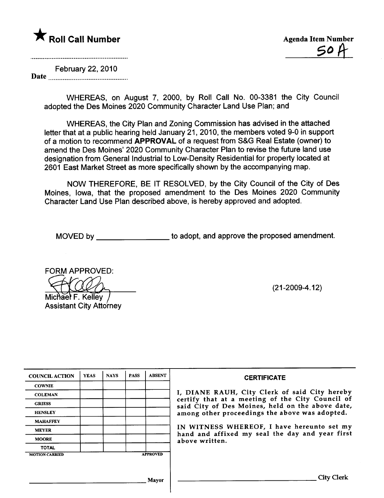# **\*** Roll Call Number Agenda Item Number

and a complete the contract of the contract of the contract of the contract of the contract of the contract of

February 22,2010 Date

> WHEREAS, on August 7, 2000, by Roll Call No. 00-3381 the City Council adopted the Des Moines 2020 Community Character Land Use Plan; and

WHEREAS, the City Plan and Zoning Commission has advised in the attached letter that at a public hearing held January 21, 2010, the members voted 9-0 in support of a motion to recommend APPROVAL of a request from S&G Real Estate (owner) to amend the Des Moines' 2020 Community Character Plan to revise the future land use designation from General Industrial to Low-Density Residential for property located at 2601 East Market Street as more specifically shown by the accompanying map.

NOW THEREFORE, BE IT RESOLVED, by the City Council of the City of Des Moines, Iowa, that the proposed amendment to the Des Moines 2020 Community Character Land Use Plan described above, is hereby approved and adopted.

MOVED by \_\_\_\_\_\_\_\_\_\_\_\_\_\_\_\_\_\_\_\_ to adopt, and approve the proposed amendment.

FORM APPROVED:<br>Michael F. Kelley<br>Assistant City Attorn

Michael F. Kelley **Assistant City Attorney** 

(21-2009-4.12)

| <b>COUNCIL ACTION</b> | <b>YEAS</b> | <b>NAYS</b> | <b>PASS</b> | <b>ABSENT</b>   | <b>CERTIFICATE</b>                                                                                   |
|-----------------------|-------------|-------------|-------------|-----------------|------------------------------------------------------------------------------------------------------|
| <b>COWNIE</b>         |             |             |             |                 |                                                                                                      |
| <b>COLEMAN</b>        |             |             |             |                 | I, DIANE RAUH, City Clerk of said City hereby                                                        |
| <b>GRIESS</b>         |             |             |             |                 | certify that at a meeting of the City Council of<br>said City of Des Moines, held on the above date, |
| <b>HENSLEY</b>        |             |             |             |                 | among other proceedings the above was adopted.                                                       |
| <b>MAHAFFEY</b>       |             |             |             |                 |                                                                                                      |
| <b>MEYER</b>          |             |             |             |                 | IN WITNESS WHEREOF, I have hereunto set my<br>hand and affixed my seal the day and year first        |
| <b>MOORE</b>          |             |             |             |                 | above written.                                                                                       |
| <b>TOTAL</b>          |             |             |             |                 |                                                                                                      |
| <b>MOTION CARRIED</b> |             |             |             | <b>APPROVED</b> |                                                                                                      |
|                       |             |             |             |                 |                                                                                                      |
|                       |             |             |             | Mayor           | City Clerk                                                                                           |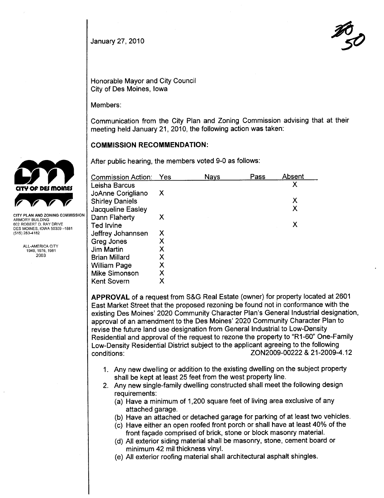$J_{\text{January 27, 2010}}$ 

Honorable Mayor and City Council City of Des Moines, Iowa

Members:

Communication from the City Plan and Zoning Commission advising that at their meeting held January 21,2010, the following action was taken:

## COMMISSION RECOMMENDATION:

After public hearing, the members voted 9-0 as follows:

| Commission Action:     | Yes | <b>Nays</b> | Pass | Absent |
|------------------------|-----|-------------|------|--------|
| Leisha Barcus          |     |             |      | Χ      |
| JoAnne Corigliano      | X.  |             |      |        |
| <b>Shirley Daniels</b> |     |             |      | Χ      |
| Jacqueline Easley      |     |             |      | Χ      |
| Dann Flaherty          | X   |             |      |        |
| Ted Irvine             |     |             |      | х      |
| Jeffrey Johannsen      | Х   |             |      |        |
| Greg Jones             | Χ   |             |      |        |
| <b>Jim Martin</b>      | X   |             |      |        |
| <b>Brian Millard</b>   | X   |             |      |        |
| William Page           | Χ   |             |      |        |
| <b>Mike Simonson</b>   | Χ   |             |      |        |
| Kent Sovern            | Χ   |             |      |        |

APPROVAL of a request from S&G Real Estate (owner) for property located at 2601 East Market Street that the proposed rezoning be found not in conformance with the existing Des Moines' 2020 Community Character Plan's General Industrial designation, approval of an amendment to the Des Moines' 2020 Community Character Plan to revise the future land use designation from General Industrial to Low-Density Residential and approval of the request to rezone the property to "R1-60" One-Family Low-Density Residential District subject to the applicant agreeing to the following conditions: ZON2009-00222 & 21-2009-4.12

- 1. Any new dwelling or addition to the existing dwellng on the subject property shall be kept at least 25 feet from the west property line.
- 2. Any new single-family dwelling constructed shall meet the following design requirements:
	- (a) Have a minimum of 1,200 square feet of living area exclusive of any attached garage.
	- (b) Have an attached or detached garage for parking of at least two vehicles.
	- (c) Have either an open roofed front porch or shall have at least 40% of the front façade comprised of brick, stone or block masonry materiaL.
	- (d) All exterior siding material shall be masonry, stone, cement board or minimum 42 mil thickness vinyL.
	- (e) All exterior roofing material shall architectural asphalt shingles.



ARMORY BUILDING 602 ROBERT D. RAY DRIVE DES MOINES. IOWA 50309 -1881 (515) 283-4182

> ALL-AMERICA CITY 1949.1976.1981 2003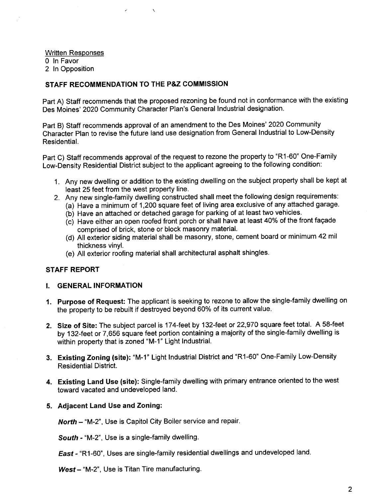Written Responses o In Favor 2 In Opposition

## STAFF RECOMMENDATION TO THE P&Z COMMISSION

 $\lambda$ 

Part A) Staff recommends that the proposed rezoning be found not in conformance with the existing Des Moines' 2020 Community Character Plan's General Industrial designation.

Part B) Staff recommends approval of an amendment to the Des Moines' 2020 Community Character Plan to revise the future land use designation from General Industrial to Low-Density ResidentiaL.

Part C) Staff recommends approval of the request to rezone the property to "R1-60" One-Family Low-Density Residential District subject to the applicant agreeing to the following condition:

- 1. Any new dwelling or addition to the existing dwelling on the subject property shall be kept at least 25 feet from the west property line.
- 2. Any new single-family dwelling constructed shall meet the following design requirements:
	- (a) Have a minimum of 1 ,200 square feet of living area exclusive of any attached garage.
	- (b) Have an attached or detached garage for parking of at least two vehicles.
	- (c) Have either an open roofed front porch or shall have at least 40% of the front façade comprised of brick, stone or block masonry materiaL.
	- (d) All exterior siding material shall be masonry, stone, cement board or minimum 42 mil thickness vinyl.
	- (e) All exterior roofing material shall architectural asphalt shingles.

#### STAFF REPORT

#### i. GENERAL INFORMATION

- 1. Purpose of Request: The applicant is seeking to rezone to allow the single-family dwelling on the property to be rebuilt if destroyed beyond 60% of its current value.
- 2. Size of Site: The subject parcel is 174-feet by 132-feet or 22,970 square feet total. A 58-feet by 132-feet or 7,656 square feet portion containing a majority of the single-family dwelling is within property that is zoned "M-1" Light Industrial.
- 3. Existing Zoning (site): "M-1" Light Industrial District and "R1-60" One-Family Low-Density Residential District.
- 4. Existing Land Use (site): Single-family dwelling with primary entrance oriented to the west toward vacated and undeveloped land.

#### 5. Adjacent Land Use and Zoning:

North - "M-2", Use is Capitol City Boiler service and repair.

South - "M-2", Use is a single-family dwelling.

East - "R1-60", Uses are single-family residential dwellings and undeveloped land.

West - "M-2", Use is Titan Tire manufacturing.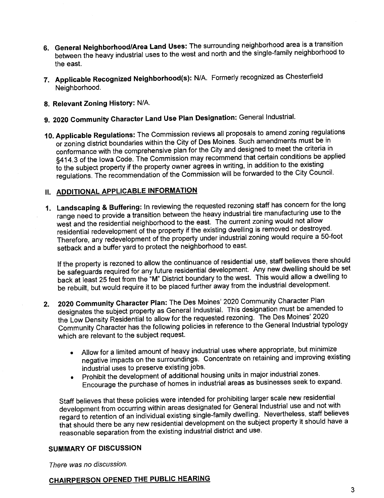- 6. General Neighborhood/Area Land Uses: The surrounding neighborhood area is a transition between the heavy industrial uses to the west and north and the single-family neighborhood to the east.
- 7. Applicable Recognized Neighborhood(s): N/A. Formerly recognized as Chesterfield Neighborhood.
- 8. Relevant Zoning History: N/A.
- 9. 2020 Community Character Land Use Plan Designation: General IndustriaL.
- 10. Applicable Regulations: The Commission reviews all proposals to amend zoning regulations or zoning district boundaries within the City of Des Moines. Such amendments must be in conformance with the comprehensive plan for the City and designed to meet the criteria in §414.3 of the Iowa Code. The Commission may recommend that certain conditions be applied to the subject property if the property owner agrees in writing, in addition to the existing regulations. The recommendation of the Commission will be forwarded to the City Council.

## II. ADDITIONAL APPLICABLE INFORMATION

1. Landscaping & Buffering: In reviewing the requested rezoning staff has concern for the long range need to provide a transition between the heavy industrial tire manufacturing use to the west and the residential neighborhood to the east. The current zoning would not allow residential redevelopment of the property if the existing dwelling is removed or destroyed. Therefore, any redevelopment of the property under industrial zoning would require a 50-foot setback and a buffer yard to protect the neighborhood to east.

If the property is rezoned to allow the continuance of residential use, staff believes there should be safeguards required for any future residential development. Any new dwelling should be set back at least 25 feet from the "M" District boundary to the west. This would allow a dwellng to be rebuilt, but would require it to be placed further away from the industrial development.

- 2. 2020 Community Character Plan: The Des Moines' 2020 Community Character Plan designates the subject property as General IndustriaL. This designation must be amended to the Low Density Residential to allow for the requested rezoning. The Des Moines' 2020 Community Character has the following policies in reference to the General Industrial typology which are relevant to the subject request.
	- . Allow for a limited amount of heavy industrial uses where appropriate, but minimize negative impacts on the surroundings. Concentrate on retaining and improving existing
	- industrial uses to preserve existing jobs.<br>Prohibit the development of additional housing units in major industrial zones. . Prohibit the development of additional housing units in major industrial zones. Encourage the purchase of homes in industrial areas as businesses seek to expand.

Staff believes that these policies were intended for prohibiting larger scale new residential development from occurring within areas designated for General Industrial use and not with regard to retention of an individual existing single-family dwelling. Nevertheless, staff believes that should there be any new residential development on the subject property it should have a reasonable separation from the existing industrial district and use.

## SUMMARY OF DISCUSSION

There was no discussion.

## CHAIRPERSON OPENED THE PUBLIC HEARING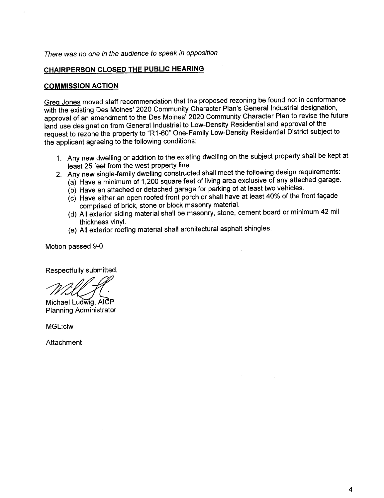## There was no one in the audience to speak in opposition

## CHAIRPERSON CLOSED THE PUBLIC HEARING

### COMMISSION ACTION

Greg Jones moved staff recommendation that the proposed rezoning be found not in conformance with the existing Des Moines' 2020 Community Character Plan's General Industrial designation, approval of an amendment to the Des Moines' 2020 Community Character Plan to revise the future land use designation from General Industrial to Low-Density Residential and approval of the request to rezone the property to "R1-60" One-Family Low-Density Residential District subject to the applicant agreeing to the following conditions:

- 1. Any new dwellng or addition to the existing dwellng on the subject property shall be kept at least 25 feet from the west property line.
- 2. Any new single-family dwelling constructed shall meet the following design requirements:
	- (a) Have a minimum of 1 ,200 square feet of living area exclusive of any attached garage.
		- (b) Have an attached or detached garage for parking of at least two vehicles.
		- (c) Have either an open roofed front porch or shall have at least 40% of the front façade comprised of brick, stone or block masonry materiaL.
		- (d) All exterior siding material shall be masonry, stone, cement board or minimum 42 mil thickness vinyl.
		- (e) All exterior roofing material shall architectural asphalt shingles.

Motion passed 9-0.

Respectfully submitted,<br>
Michael Ludwig, AlCP

Planning Administrator

MGL:c1w

**Attachment**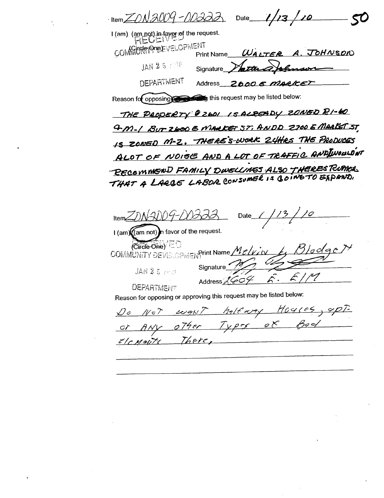$\frac{1}{\text{Item}}$  IN 2009 - NO322  $1/13/10$ Date I (am) (am not) in favor of the request. COMMUNISTIONEL COMMENT WALTER A. JOHNSON **Print Name** JAN 25 to the about we Signature **DEPARTMENT** Address 2000 6 MARICET Reason for opposing this request may be listed below: THE PRODERTY @ 2601 IS ALREADY 20NED RI-60 4 M-1 BUT Z600 E MARKET ST, ANDD Z700 E MARKET ST IS ZONED M-Z. THERE'S-WORK 24HRS THE PRODUCES ALOT OF NOISE AND A LOT OF TRAFFIC AND INOULDNT - BECOMMEND FAMILY DWELLINGS ALSO THERES RUMOR THAT A LARGE LABOR CONSUMER IS GOING TO EXPAND.

 $ItemZIN$ Date I (am) (am not) n favor of the request.  $(\overline{\text{Circle One}}) = 0$ COMMUNITY DEVELOPMENPrint Name Melvin  $2$ loclac $\ge$ Signature JAN 2 5 2010 Address 2604  $\mathcal{L}$ .  $5119$ **DEPARTMENT** 

Reason for opposing or approving this request may be listed below:

Do Not want halfway Hoyses, upt. or ANY other Types of Bed clenouts There,